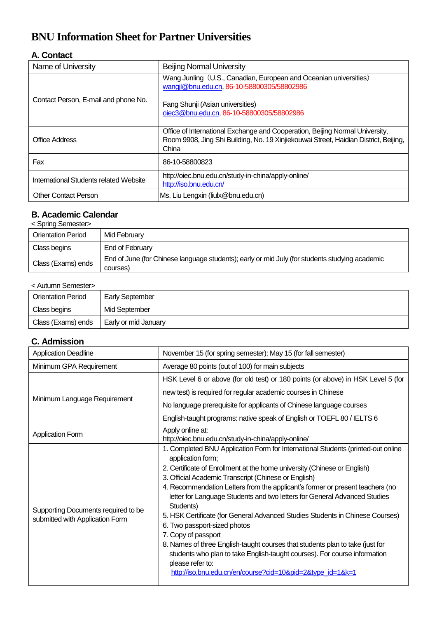# **BNU Information Sheet for Partner Universities**

#### **A. Contact**

| Name of University                     | <b>Beijing Normal University</b>                                                                                                                                                                 |
|----------------------------------------|--------------------------------------------------------------------------------------------------------------------------------------------------------------------------------------------------|
| Contact Person, E-mail and phone No.   | Wang Junling (U.S., Canadian, European and Oceanian universities)<br>wangjl@bnu.edu.cn, 86-10-58800305/58802986<br>Fang Shunji (Asian universities)<br>oiec3@bnu.edu.cn, 86-10-58800305/58802986 |
| <b>Office Address</b>                  | Office of International Exchange and Cooperation, Beijing Normal University,<br>Room 9908, Jing Shi Building, No. 19 Xinjiekouwai Street, Haidian District, Beijing,<br>China                    |
| Fax                                    | 86-10-58800823                                                                                                                                                                                   |
| International Students related Website | http://oiec.bnu.edu.cn/study-in-china/apply-online/<br>http://iso.bnu.edu.cn/                                                                                                                    |
| <b>Other Contact Person</b>            | Ms. Liu Lengxin (liulx@bnu.edu.cn)                                                                                                                                                               |

# **B. Academic Calendar**

| <spring semester=""></spring> |  |
|-------------------------------|--|
|-------------------------------|--|

| <b>Orientation Period</b> | Mid February                                                                                               |
|---------------------------|------------------------------------------------------------------------------------------------------------|
| Class begins              | End of February                                                                                            |
| Class (Exams) ends        | End of June (for Chinese language students); early or mid July (for students studying academic<br>courses) |

| < Autumn Semester>        |                        |  |
|---------------------------|------------------------|--|
| <b>Orientation Period</b> | <b>Early September</b> |  |
| Class begins              | Mid September          |  |
| Class (Exams) ends        | Early or mid January   |  |

#### **C. Admission**

| <b>Application Deadline</b>                                            | November 15 (for spring semester); May 15 (for fall semester)                                                                                                                                                                                                                                                                                                                                                                                                                                                                                                                                                                                                                                                                                                                                                |
|------------------------------------------------------------------------|--------------------------------------------------------------------------------------------------------------------------------------------------------------------------------------------------------------------------------------------------------------------------------------------------------------------------------------------------------------------------------------------------------------------------------------------------------------------------------------------------------------------------------------------------------------------------------------------------------------------------------------------------------------------------------------------------------------------------------------------------------------------------------------------------------------|
| Minimum GPA Requirement                                                | Average 80 points (out of 100) for main subjects                                                                                                                                                                                                                                                                                                                                                                                                                                                                                                                                                                                                                                                                                                                                                             |
|                                                                        | HSK Level 6 or above (for old test) or 180 points (or above) in HSK Level 5 (for                                                                                                                                                                                                                                                                                                                                                                                                                                                                                                                                                                                                                                                                                                                             |
|                                                                        | new test) is required for regular academic courses in Chinese                                                                                                                                                                                                                                                                                                                                                                                                                                                                                                                                                                                                                                                                                                                                                |
| Minimum Language Requirement                                           | No language prerequisite for applicants of Chinese language courses                                                                                                                                                                                                                                                                                                                                                                                                                                                                                                                                                                                                                                                                                                                                          |
|                                                                        | English-taught programs: native speak of English or TOEFL 80 / IELTS 6                                                                                                                                                                                                                                                                                                                                                                                                                                                                                                                                                                                                                                                                                                                                       |
| <b>Application Form</b>                                                | Apply online at:<br>http://oiec.bnu.edu.cn/study-in-china/apply-online/                                                                                                                                                                                                                                                                                                                                                                                                                                                                                                                                                                                                                                                                                                                                      |
| Supporting Documents required to be<br>submitted with Application Form | 1. Completed BNU Application Form for International Students (printed-out online<br>application form;<br>2. Certificate of Enrollment at the home university (Chinese or English)<br>3. Official Academic Transcript (Chinese or English)<br>4. Recommendation Letters from the applicant's former or present teachers (no<br>letter for Language Students and two letters for General Advanced Studies<br>Students)<br>5. HSK Certificate (for General Advanced Studies Students in Chinese Courses)<br>6. Two passport-sized photos<br>7. Copy of passport<br>8. Names of three English-taught courses that students plan to take (just for<br>students who plan to take English-taught courses). For course information<br>please refer to:<br>http://iso.bnu.edu.cn/en/course?cid=10&pid=2&type_id=1&k=1 |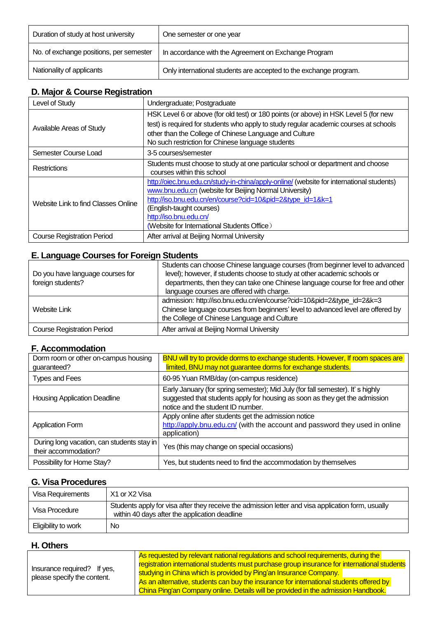| Duration of study at host university    | One semester or one year                                          |
|-----------------------------------------|-------------------------------------------------------------------|
| No. of exchange positions, per semester | In accordance with the Agreement on Exchange Program              |
| Nationality of applicants               | Only international students are accepted to the exchange program. |

### **D. Major & Course Registration**

| Level of Study                      | Undergraduate; Postgraduate                                                                                                                                                                                                                                                                                           |
|-------------------------------------|-----------------------------------------------------------------------------------------------------------------------------------------------------------------------------------------------------------------------------------------------------------------------------------------------------------------------|
| Available Areas of Study            | HSK Level 6 or above (for old test) or 180 points (or above) in HSK Level 5 (for new<br>test) is required for students who apply to study regular academic courses at schools<br>other than the College of Chinese Language and Culture<br>No such restriction for Chinese language students                          |
| Semester Course Load                | 3-5 courses/semester                                                                                                                                                                                                                                                                                                  |
| Restrictions                        | Students must choose to study at one particular school or department and choose<br>courses within this school                                                                                                                                                                                                         |
| Website Link to find Classes Online | http://oiec.bnu.edu.cn/study-in-china/apply-online/ (website for international students)<br>www.bnu.edu.cn (website for Beijing Normal University)<br>http://iso.bnu.edu.cn/en/course?cid=10&pid=2&type_id=1&k=1<br>(English-taught courses)<br>http://iso.bnu.edu.cn/<br>(Website for International Students Office) |
| <b>Course Registration Period</b>   | After arrival at Beijing Normal University                                                                                                                                                                                                                                                                            |

## **E. Language Courses for Foreign Students**

| Do you have language courses for<br>foreign students? | Students can choose Chinese language courses (from beginner level to advanced<br>level); however, if students choose to study at other academic schools or<br>departments, then they can take one Chinese language course for free and other |
|-------------------------------------------------------|----------------------------------------------------------------------------------------------------------------------------------------------------------------------------------------------------------------------------------------------|
|                                                       | language courses are offered with charge.                                                                                                                                                                                                    |
| Website Link                                          | admission: http://iso.bnu.edu.cn/en/course?cid=10&pid=2&type_id=2&k=3<br>Chinese language courses from beginners' level to advanced level are offered by<br>the College of Chinese Language and Culture                                      |
| <b>Course Registration Period</b>                     | After arrival at Beijing Normal University                                                                                                                                                                                                   |

#### **F. Accommodation**

| Dorm room or other on-campus housing<br>guaranteed?                | BNU will try to provide dorms to exchange students. However, If room spaces are<br>limited, BNU may not guarantee dorms for exchange students.                                                     |
|--------------------------------------------------------------------|----------------------------------------------------------------------------------------------------------------------------------------------------------------------------------------------------|
| <b>Types and Fees</b>                                              | 60-95 Yuan RMB/day (on-campus residence)                                                                                                                                                           |
| <b>Housing Application Deadline</b>                                | Early January (for spring semester); Mid July (for fall semester). It's highly<br>suggested that students apply for housing as soon as they get the admission<br>notice and the student ID number. |
| <b>Application Form</b>                                            | Apply online after students get the admission notice<br>http://apply.bnu.edu.cn/ (with the account and password they used in online<br>application)                                                |
| During long vacation, can students stay in<br>their accommodation? | Yes (this may change on special occasions)                                                                                                                                                         |
| Possibility for Home Stay?                                         | Yes, but students need to find the accommodation by themselves                                                                                                                                     |

# **G. Visa Procedures**

| Visa Requirements   | X1 or X2 Visa                                                                                                                                       |
|---------------------|-----------------------------------------------------------------------------------------------------------------------------------------------------|
| Visa Procedure      | Students apply for visa after they receive the admission letter and visa application form, usually<br>within 40 days after the application deadline |
| Eligibility to work | <b>No</b>                                                                                                                                           |

#### **H. Others**

|                                                            | As requested by relevant national regulations and school requirements, during the            |  |
|------------------------------------------------------------|----------------------------------------------------------------------------------------------|--|
| Insurance required? If yes,<br>please specify the content. | registration international students must purchase group insurance for international students |  |
|                                                            | studying in China which is provided by Ping'an Insurance Company.                            |  |
|                                                            | As an alternative, students can buy the insurance for international students offered by      |  |
|                                                            | China Ping'an Company online. Details will be provided in the admission Handbook.            |  |